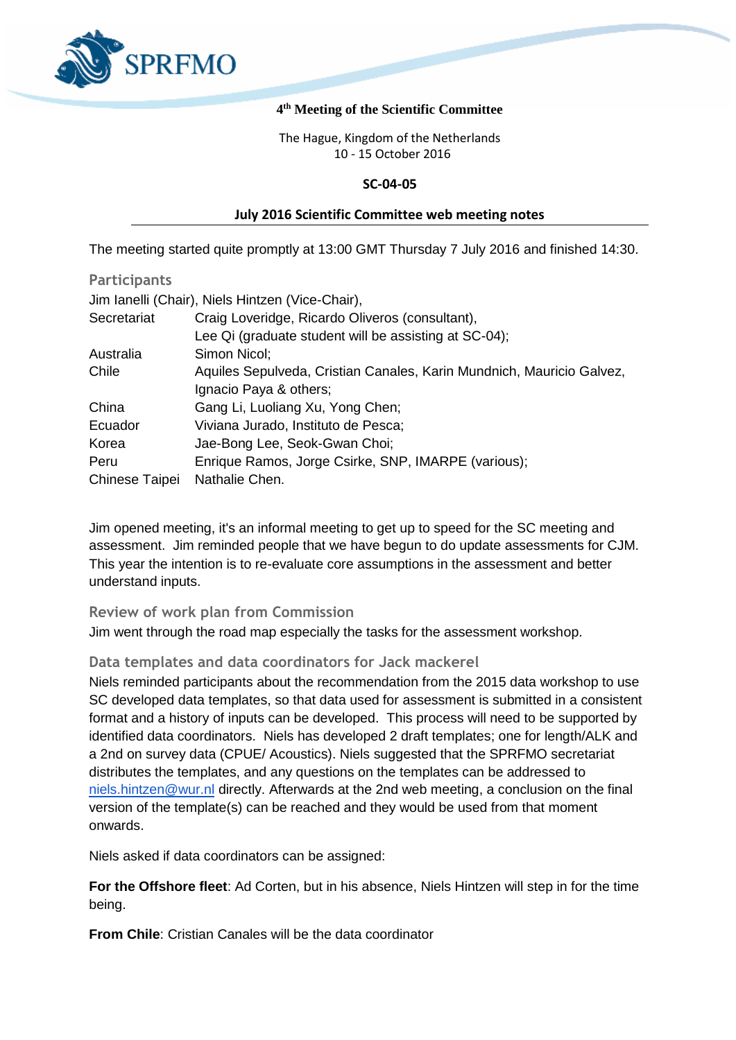

### **4 th Meeting of the Scientific Committee**

The Hague, Kingdom of the Netherlands 10 - 15 October 2016

### **SC-04-05**

#### **July 2016 Scientific Committee web meeting notes**

The meeting started quite promptly at 13:00 GMT Thursday 7 July 2016 and finished 14:30.

| <b>Participants</b> |                                                                       |
|---------------------|-----------------------------------------------------------------------|
|                     | Jim Ianelli (Chair), Niels Hintzen (Vice-Chair),                      |
| Secretariat         | Craig Loveridge, Ricardo Oliveros (consultant),                       |
|                     | Lee Qi (graduate student will be assisting at SC-04);                 |
| Australia           | Simon Nicol;                                                          |
| Chile               | Aquiles Sepulveda, Cristian Canales, Karin Mundnich, Mauricio Galvez, |
|                     | Ignacio Paya & others;                                                |
| China               | Gang Li, Luoliang Xu, Yong Chen;                                      |
| Ecuador             | Viviana Jurado, Instituto de Pesca;                                   |
| Korea               | Jae-Bong Lee, Seok-Gwan Choi;                                         |
| Peru                | Enrique Ramos, Jorge Csirke, SNP, IMARPE (various);                   |
| Chinese Taipei      | Nathalie Chen.                                                        |

Jim opened meeting, it's an informal meeting to get up to speed for the SC meeting and assessment. Jim reminded people that we have begun to do update assessments for CJM. This year the intention is to re-evaluate core assumptions in the assessment and better understand inputs.

## **Review of work plan from Commission**

Jim went through the road map especially the tasks for the assessment workshop.

## **Data templates and data coordinators for Jack mackerel**

Niels reminded participants about the recommendation from the 2015 data workshop to use SC developed data templates, so that data used for assessment is submitted in a consistent format and a history of inputs can be developed. This process will need to be supported by identified data coordinators. Niels has developed 2 draft templates; one for length/ALK and a 2nd on survey data (CPUE/ Acoustics). Niels suggested that the SPRFMO secretariat distributes the templates, and any questions on the templates can be addressed to [niels.hintzen@wur.nl](mailto:niels.hintzen@wur.nl) directly. Afterwards at the 2nd web meeting, a conclusion on the final version of the template(s) can be reached and they would be used from that moment onwards.

Niels asked if data coordinators can be assigned:

**For the Offshore fleet**: Ad Corten, but in his absence, Niels Hintzen will step in for the time being.

**From Chile**: Cristian Canales will be the data coordinator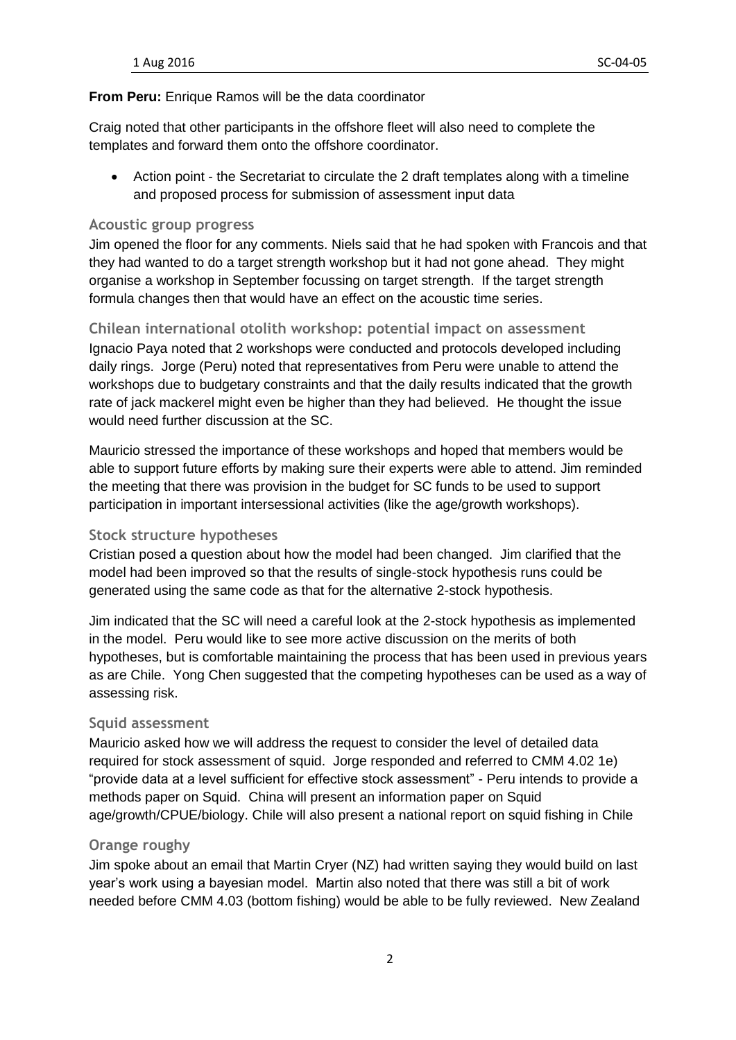## **From Peru:** Enrique Ramos will be the data coordinator

Craig noted that other participants in the offshore fleet will also need to complete the templates and forward them onto the offshore coordinator.

• Action point - the Secretariat to circulate the 2 draft templates along with a timeline and proposed process for submission of assessment input data

#### **Acoustic group progress**

Jim opened the floor for any comments. Niels said that he had spoken with Francois and that they had wanted to do a target strength workshop but it had not gone ahead. They might organise a workshop in September focussing on target strength. If the target strength formula changes then that would have an effect on the acoustic time series.

# **Chilean international otolith workshop: potential impact on assessment**

Ignacio Paya noted that 2 workshops were conducted and protocols developed including daily rings. Jorge (Peru) noted that representatives from Peru were unable to attend the workshops due to budgetary constraints and that the daily results indicated that the growth rate of jack mackerel might even be higher than they had believed. He thought the issue would need further discussion at the SC.

Mauricio stressed the importance of these workshops and hoped that members would be able to support future efforts by making sure their experts were able to attend. Jim reminded the meeting that there was provision in the budget for SC funds to be used to support participation in important intersessional activities (like the age/growth workshops).

## **Stock structure hypotheses**

Cristian posed a question about how the model had been changed. Jim clarified that the model had been improved so that the results of single-stock hypothesis runs could be generated using the same code as that for the alternative 2-stock hypothesis.

Jim indicated that the SC will need a careful look at the 2-stock hypothesis as implemented in the model. Peru would like to see more active discussion on the merits of both hypotheses, but is comfortable maintaining the process that has been used in previous years as are Chile. Yong Chen suggested that the competing hypotheses can be used as a way of assessing risk.

#### **Squid assessment**

Mauricio asked how we will address the request to consider the level of detailed data required for stock assessment of squid. Jorge responded and referred to CMM 4.02 1e) "provide data at a level sufficient for effective stock assessment" - Peru intends to provide a methods paper on Squid. China will present an information paper on Squid age/growth/CPUE/biology. Chile will also present a national report on squid fishing in Chile

## **Orange roughy**

Jim spoke about an email that Martin Cryer (NZ) had written saying they would build on last year's work using a bayesian model. Martin also noted that there was still a bit of work needed before CMM 4.03 (bottom fishing) would be able to be fully reviewed. New Zealand